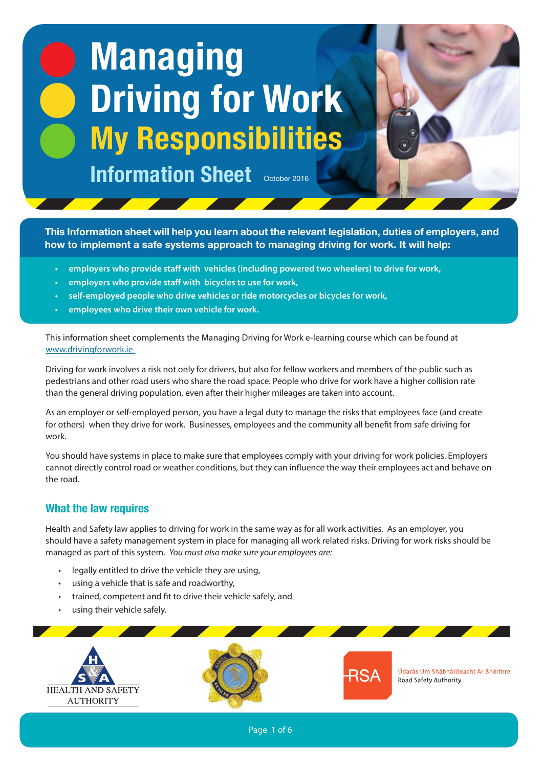# **Managing Driving for Work My Responsibilities**

**Information Sheet October 2016** 

**This Information sheet will help you learn about the relevant legislation, duties of employers, and how to implement a safe systems approach to managing driving for work. It will help:**

**Jan 2016**

- **• employers who provide staff with vehicles (including powered two wheelers) to drive for work,**
- **• employers who provide staff with bicycles to use for work,**
- **• self-employed people who drive vehicles or ride motorcycles or bicycles for work,**
- **• employees who drive their own vehicle for work.**

This information sheet complements the Managing Driving for Work e-learning course which can be found at www.drivingforwork.ie

Driving for work involves a risk not only for drivers, but also for fellow workers and members of the public such as pedestrians and other road users who share the road space. People who drive for work have a higher collision rate than the general driving population, even after their higher mileages are taken into account.

As an employer or self-employed person, you have a legal duty to manage the risks that employees face (and create for others) when they drive for work. Businesses, employees and the community all benefit from safe driving for work.

You should have systems in place to make sure that employees comply with your driving for work policies. Employers cannot directly control road or weather conditions, but they can influence the way their employees act and behave on the road.

## **What the law requires**

Health and Safety law applies to driving for work in the same way as for all work activities. As an employer, you should have a safety management system in place for managing all work related risks. Driving for work risks should be managed as part of this system. *You must also make sure your employees are:*

- legally entitled to drive the vehicle they are using,
- using a vehicle that is safe and roadworthy,
- trained, competent and fit to drive their vehicle safely, and
- using their vehicle safely.

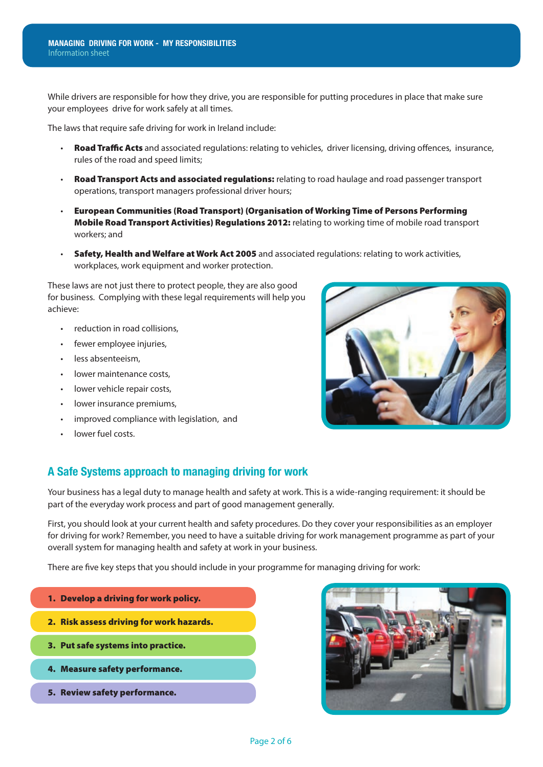While drivers are responsible for how they drive, you are responsible for putting procedures in place that make sure your employees drive for work safely at all times.

The laws that require safe driving for work in Ireland include:

- Road Traffic Acts and associated regulations: relating to vehicles, driver licensing, driving offences, insurance, rules of the road and speed limits;
- Road Transport Acts and associated regulations: relating to road haulage and road passenger transport operations, transport managers professional driver hours;
- European Communities (Road Transport) (Organisation of Working Time of Persons Performing Mobile Road Transport Activities) Regulations 2012: relating to working time of mobile road transport workers; and
- Safety, Health and Welfare at Work Act 2005 and associated regulations: relating to work activities, workplaces, work equipment and worker protection.

These laws are not just there to protect people, they are also good for business. Complying with these legal requirements will help you achieve:

- reduction in road collisions,
- fewer employee injuries,
- less absenteeism,
- lower maintenance costs.
- lower vehicle repair costs,
- lower insurance premiums,
- improved compliance with legislation, and
- lower fuel costs.



## **A Safe Systems approach to managing driving for work**

Your business has a legal duty to manage health and safety at work. This is a wide-ranging requirement: it should be part of the everyday work process and part of good management generally.

First, you should look at your current health and safety procedures. Do they cover your responsibilities as an employer for driving for work? Remember, you need to have a suitable driving for work management programme as part of your overall system for managing health and safety at work in your business.

There are five key steps that you should include in your programme for managing driving for work:

- 1. Develop a driving for work policy. 2. Risk assess driving for work hazards. 3. Put safe systems into practice. 4. Measure safety performance.
	- 5. Review safety performance.

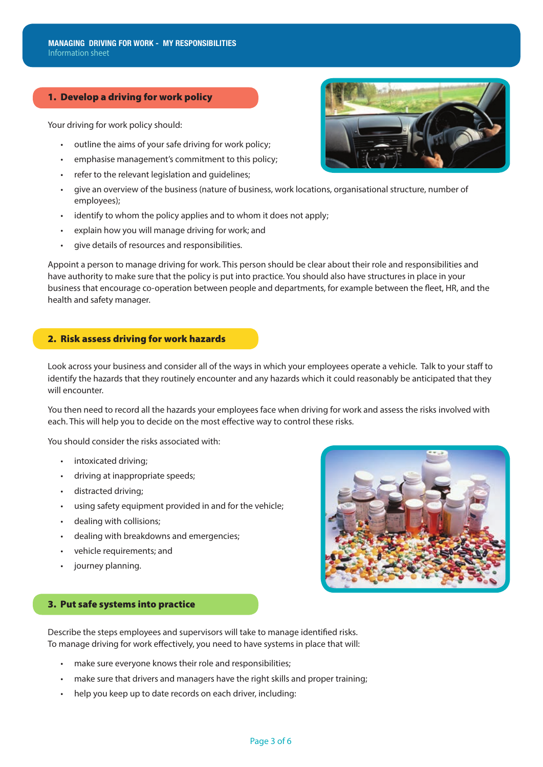#### 1. Develop a driving for work policy

Your driving for work policy should:

- outline the aims of your safe driving for work policy;
- emphasise management's commitment to this policy;
- refer to the relevant legislation and guidelines;
- give an overview of the business (nature of business, work locations, organisational structure, number of employees);
- identify to whom the policy applies and to whom it does not apply;
- explain how you will manage driving for work; and
- give details of resources and responsibilities.

Appoint a person to manage driving for work. This person should be clear about their role and responsibilities and have authority to make sure that the policy is put into practice. You should also have structures in place in your business that encourage co-operation between people and departments, for example between the fleet, HR, and the health and safety manager.

#### 2. Risk assess driving for work hazards

Look across your business and consider all of the ways in which your employees operate a vehicle. Talk to your staff to identify the hazards that they routinely encounter and any hazards which it could reasonably be anticipated that they will encounter.

You then need to record all the hazards your employees face when driving for work and assess the risks involved with each. This will help you to decide on the most effective way to control these risks.

You should consider the risks associated with:

- intoxicated driving;
- driving at inappropriate speeds;
- distracted driving;
- using safety equipment provided in and for the vehicle:
- dealing with collisions;
- dealing with breakdowns and emergencies;
- vehicle requirements; and
- journey planning.



#### 3. Put safe systems into practice

Describe the steps employees and supervisors will take to manage identified risks. To manage driving for work effectively, you need to have systems in place that will:

- make sure everyone knows their role and responsibilities;
- make sure that drivers and managers have the right skills and proper training;
- help you keep up to date records on each driver, including:

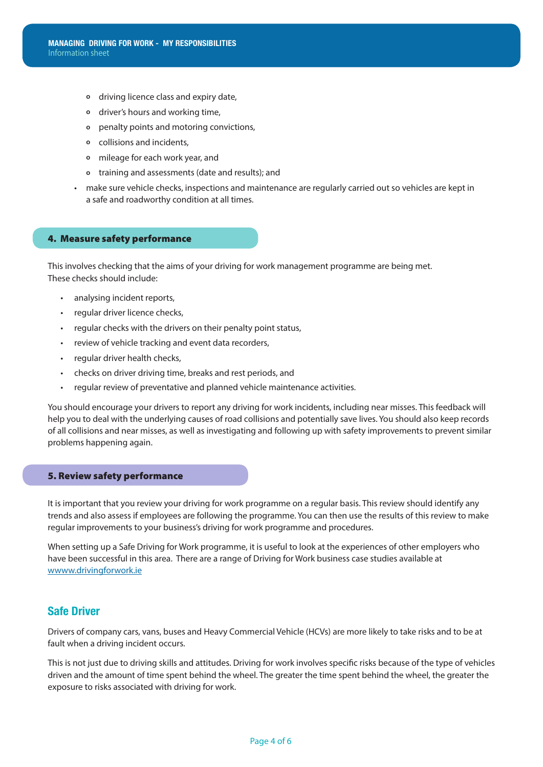- **o** driving licence class and expiry date,
- **o** driver's hours and working time,
- **o** penalty points and motoring convictions,
- **o** collisions and incidents,
- **o** mileage for each work year, and
- **o** training and assessments (date and results); and
- make sure vehicle checks, inspections and maintenance are regularly carried out so vehicles are kept in a safe and roadworthy condition at all times.

#### 4. Measure safety performance

This involves checking that the aims of your driving for work management programme are being met. These checks should include:

- analysing incident reports,
- regular driver licence checks,
- regular checks with the drivers on their penalty point status,
- review of vehicle tracking and event data recorders,
- regular driver health checks,
- checks on driver driving time, breaks and rest periods, and
- regular review of preventative and planned vehicle maintenance activities.

You should encourage your drivers to report any driving for work incidents, including near misses. This feedback will help you to deal with the underlying causes of road collisions and potentially save lives. You should also keep records of all collisions and near misses, as well as investigating and following up with safety improvements to prevent similar problems happening again.

#### 5. Review safety performance

It is important that you review your driving for work programme on a regular basis. This review should identify any trends and also assess if employees are following the programme. You can then use the results of this review to make regular improvements to your business's driving for work programme and procedures.

When setting up a Safe Driving for Work programme, it is useful to look at the experiences of other employers who have been successful in this area. There are a range of Driving for Work business case studies available at wwww.drivingforwork.ie

### **Safe Driver**

Drivers of company cars, vans, buses and Heavy Commercial Vehicle (HCVs) are more likely to take risks and to be at fault when a driving incident occurs.

This is not just due to driving skills and attitudes. Driving for work involves specific risks because of the type of vehicles driven and the amount of time spent behind the wheel. The greater the time spent behind the wheel, the greater the exposure to risks associated with driving for work.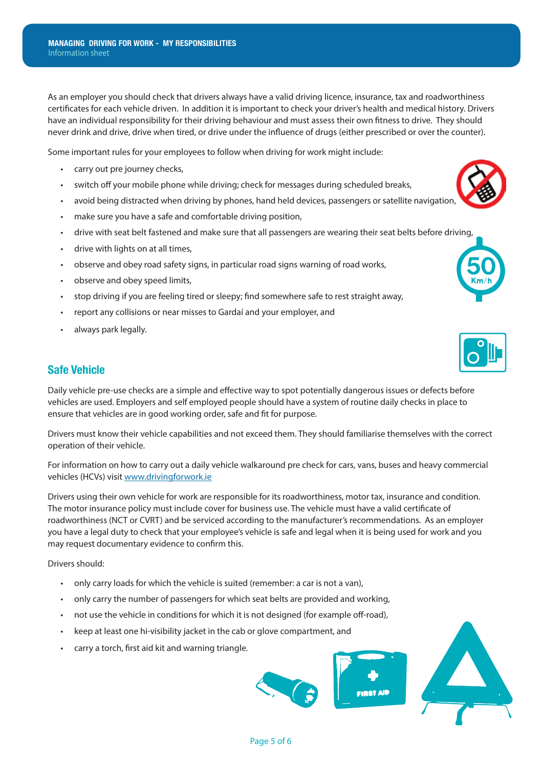As an employer you should check that drivers always have a valid driving licence, insurance, tax and roadworthiness certificates for each vehicle driven. In addition it is important to check your driver's health and medical history. Drivers have an individual responsibility for their driving behaviour and must assess their own fitness to drive. They should never drink and drive, drive when tired, or drive under the influence of drugs (either prescribed or over the counter).

Some important rules for your employees to follow when driving for work might include:

- carry out pre journey checks,
- switch off your mobile phone while driving; check for messages during scheduled breaks,
- avoid being distracted when driving by phones, hand held devices, passengers or satellite navigation,
- make sure you have a safe and comfortable driving position,
- drive with seat belt fastened and make sure that all passengers are wearing their seat belts before driving,
- drive with lights on at all times,
- observe and obey road safety signs, in particular road signs warning of road works,
- observe and obey speed limits,
- stop driving if you are feeling tired or sleepy; find somewhere safe to rest straight away,
- report any collisions or near misses to Gardaí and your employer, and
- always park legally.

## **Safe Vehicle**

Daily vehicle pre-use checks are a simple and effective way to spot potentially dangerous issues or defects before vehicles are used. Employers and self employed people should have a system of routine daily checks in place to ensure that vehicles are in good working order, safe and fit for purpose.

Drivers must know their vehicle capabilities and not exceed them. They should familiarise themselves with the correct operation of their vehicle.

For information on how to carry out a daily vehicle walkaround pre check for cars, vans, buses and heavy commercial vehicles (HCVs) visit www.drivingforwork.ie

Drivers using their own vehicle for work are responsible for its roadworthiness, motor tax, insurance and condition. The motor insurance policy must include cover for business use. The vehicle must have a valid certificate of roadworthiness (NCT or CVRT) and be serviced according to the manufacturer's recommendations. As an employer you have a legal duty to check that your employee's vehicle is safe and legal when it is being used for work and you may request documentary evidence to confirm this.

Drivers should:

- only carry loads for which the vehicle is suited (remember: a car is not a van),
- only carry the number of passengers for which seat belts are provided and working,
- not use the vehicle in conditions for which it is not designed (for example off-road),
- keep at least one hi-visibility jacket in the cab or glove compartment, and
- carry a torch, first aid kit and warning triangle.